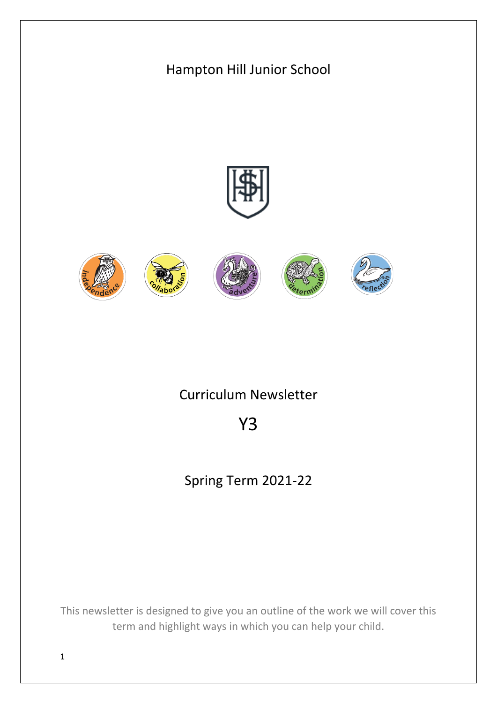

This newsletter is designed to give you an outline of the work we will cover this term and highlight ways in which you can help your child.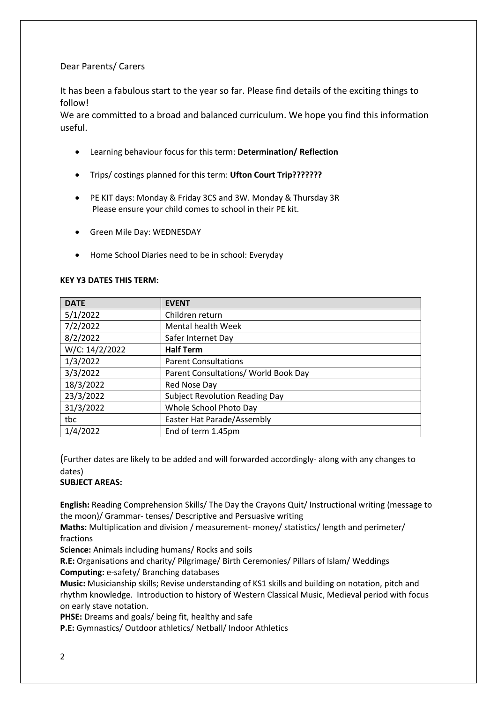## Dear Parents/ Carers

It has been a fabulous start to the year so far. Please find details of the exciting things to follow!

We are committed to a broad and balanced curriculum. We hope you find this information useful.

- Learning behaviour focus for this term: **Determination/ Reflection**
- Trips/ costings planned for this term: **Ufton Court Trip???????**
- PE KIT days: Monday & Friday 3CS and 3W. Monday & Thursday 3R Please ensure your child comes to school in their PE kit.
- Green Mile Day: WEDNESDAY
- Home School Diaries need to be in school: Everyday

## **KEY Y3 DATES THIS TERM:**

| <b>DATE</b>    | <b>EVENT</b>                          |
|----------------|---------------------------------------|
| 5/1/2022       | Children return                       |
| 7/2/2022       | <b>Mental health Week</b>             |
| 8/2/2022       | Safer Internet Day                    |
| W/C: 14/2/2022 | <b>Half Term</b>                      |
| 1/3/2022       | <b>Parent Consultations</b>           |
| 3/3/2022       | Parent Consultations/ World Book Day  |
| 18/3/2022      | Red Nose Day                          |
| 23/3/2022      | <b>Subject Revolution Reading Day</b> |
| 31/3/2022      | Whole School Photo Day                |
| tbc            | Easter Hat Parade/Assembly            |
| 1/4/2022       | End of term 1.45pm                    |

(Further dates are likely to be added and will forwarded accordingly- along with any changes to dates)

## **SUBJECT AREAS:**

**English:** Reading Comprehension Skills/ The Day the Crayons Quit/ Instructional writing (message to the moon)/ Grammar- tenses/ Descriptive and Persuasive writing

**Maths:** Multiplication and division / measurement- money/ statistics/ length and perimeter/ fractions

**Science:** Animals including humans/ Rocks and soils

**R.E:** Organisations and charity/ Pilgrimage/ Birth Ceremonies/ Pillars of Islam/ Weddings **Computing:** e-safety/ Branching databases

**Music:** Musicianship skills; Revise understanding of KS1 skills and building on notation, pitch and rhythm knowledge. Introduction to history of Western Classical Music, Medieval period with focus on early stave notation.

**PHSE:** Dreams and goals/ being fit, healthy and safe

**P.E:** Gymnastics/ Outdoor athletics/ Netball/ Indoor Athletics